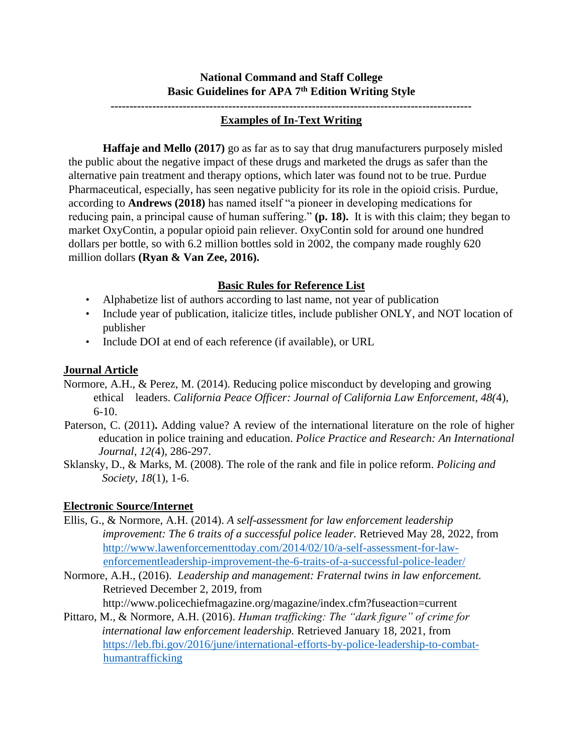# **National Command and Staff College Basic Guidelines for APA 7th Edition Writing Style**

# **-----------------------------------------------------------------------------------------------**

#### **Examples of In-Text Writing**

**Haffaje and Mello (2017)** go as far as to say that drug manufacturers purposely misled the public about the negative impact of these drugs and marketed the drugs as safer than the alternative pain treatment and therapy options, which later was found not to be true. Purdue Pharmaceutical, especially, has seen negative publicity for its role in the opioid crisis. Purdue, according to **Andrews (2018)** has named itself "a pioneer in developing medications for reducing pain, a principal cause of human suffering." **(p. 18).** It is with this claim; they began to market OxyContin, a popular opioid pain reliever. OxyContin sold for around one hundred dollars per bottle, so with 6.2 million bottles sold in 2002, the company made roughly 620 million dollars **(Ryan & Van Zee, 2016).** 

## **Basic Rules for Reference List**

- Alphabetize list of authors according to last name, not year of publication
- Include year of publication, italicize titles, include publisher ONLY, and NOT location of publisher
- Include DOI at end of each reference (if available), or URL

## **Journal Article**

- Normore, A.H., & Perez, M. (2014). Reducing police misconduct by developing and growing ethical leaders. *California Peace Officer: Journal of California Law Enforcement, 48(*4), 6-10.
- Paterson, C. (2011)**.** Adding value? A review of the international literature on the role of higher education in police training and education. *Police Practice and Research: An International Journal, 12(*4), 286-297.
- Sklansky, D., & Marks, M. (2008). The role of the rank and file in police reform. *Policing and Society, 18*(1), 1-6.

## **Electronic Source/Internet**

- Ellis, G., & Normore, A.H. (2014). *A self-assessment for law enforcement leadership improvement: The 6 traits of a successful police leader.* Retrieved May 28, 2022, from [http://www.lawenforcementtoday.com/2014/02/10/a-self-assessment-for-law](http://www.lawenforcementtoday.com/2014/02/10/a-self-assessment-for-law-enforcementleadership-improvement-the-6-traits-of-a-successful-police-leader/)[enforcementleadership-improvement-the-6-traits-of-a-successful-police-leader/](http://www.lawenforcementtoday.com/2014/02/10/a-self-assessment-for-law-enforcementleadership-improvement-the-6-traits-of-a-successful-police-leader/)
- Normore, A.H., (2016). *Leadership and management: Fraternal twins in law enforcement.* Retrieved December 2, 2019, from http://www.policechiefmagazine.org/magazine/index.cfm?fuseaction=current
- Pittaro, M., & Normore, A.H. (2016). *Human trafficking: The "dark figure" of crime for international law enforcement leadership.* Retrieved January 18, 2021, from [https://leb.fbi.gov/2016/june/international-efforts-by-police-leadership-to-combat](https://leb.fbi.gov/2016/june/international-efforts-by-police-leadership-to-combat-humantrafficking)[humantrafficking](https://leb.fbi.gov/2016/june/international-efforts-by-police-leadership-to-combat-humantrafficking)